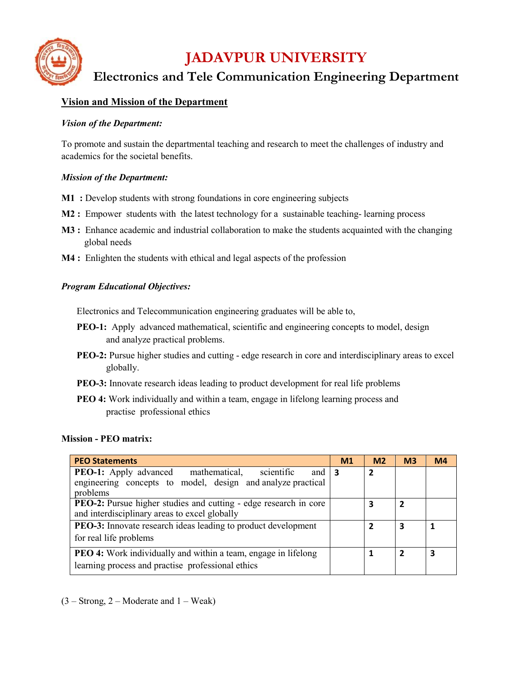

# **Vision and Mission of the Department**

## *Vision of the Department:*

To promote and sustain the departmental teaching and research to meet the challenges of industry and academics for the societal benefits.

## *Mission of the Department:*

- **M1 :** Develop students with strong foundations in core engineering subjects
- **M2 :** Empower students with the latest technology for a sustainable teaching- learning process
- **M3 :** Enhance academic and industrial collaboration to make the students acquainted with the changing global needs
- **M4 :** Enlighten the students with ethical and legal aspects of the profession

## *Program Educational Objectives:*

Electronics and Telecommunication engineering graduates will be able to,

- **PEO-1:** Apply advanced mathematical, scientific and engineering concepts to model, design and analyze practical problems.
- **PEO-2:** Pursue higher studies and cutting edge research in core and interdisciplinary areas to excel globally.
- **PEO-3:** Innovate research ideas leading to product development for real life problems
- **PEO 4:** Work individually and within a team, engage in lifelong learning process and practise professional ethics

#### **Mission - PEO matrix:**

| <b>PEO Statements</b>                                                                                                                      | M1 | M <sub>2</sub> | M <sub>3</sub> | M <sub>4</sub> |
|--------------------------------------------------------------------------------------------------------------------------------------------|----|----------------|----------------|----------------|
| <b>PEO-1:</b> Apply advanced mathematical,<br>scientific<br>and<br>engineering concepts to model, design and analyze practical<br>problems | -3 | $\overline{2}$ |                |                |
| <b>PEO-2:</b> Pursue higher studies and cutting - edge research in core<br>and interdisciplinary areas to excel globally                   |    | 3              | 2              |                |
| <b>PEO-3:</b> Innovate research ideas leading to product development<br>for real life problems                                             |    |                | 3              |                |
| <b>PEO 4:</b> Work individually and within a team, engage in lifelong<br>learning process and practise professional ethics                 |    |                | $\overline{2}$ | 3              |

 $(3 -$ Strong, 2 – Moderate and 1 – Weak)